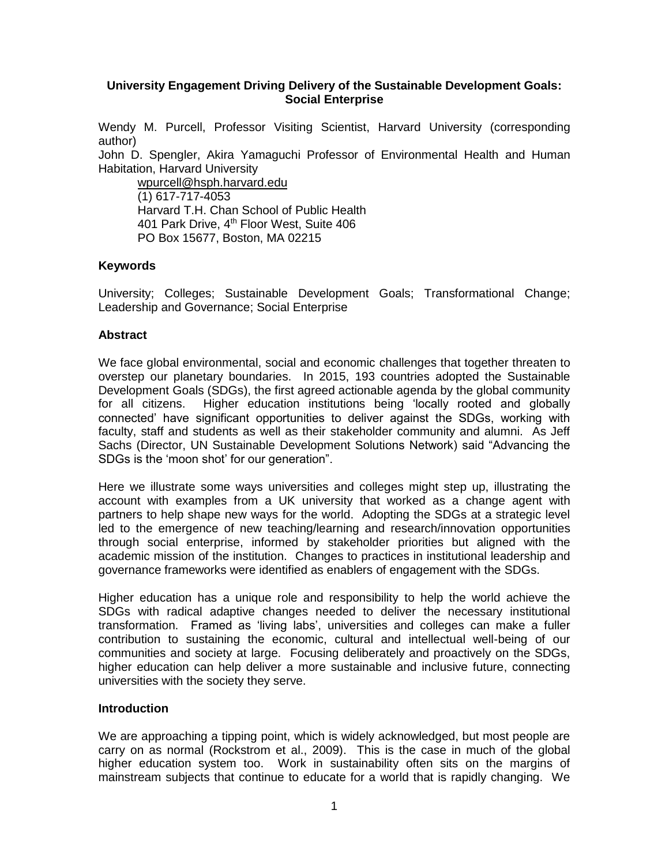#### **University Engagement Driving Delivery of the Sustainable Development Goals: Social Enterprise**

Wendy M. Purcell, Professor Visiting Scientist, Harvard University (corresponding author)

John D. Spengler, Akira Yamaguchi Professor of Environmental Health and Human Habitation, Harvard University

[wpurcell@hsph.harvard.edu](mailto:wpurcell@hsph.harvard.edu) (1) 617-717-4053 Harvard T.H. Chan School of Public Health 401 Park Drive, 4<sup>th</sup> Floor West, Suite 406 PO Box 15677, Boston, MA 02215

#### **Keywords**

University; Colleges; Sustainable Development Goals; Transformational Change; Leadership and Governance; Social Enterprise

#### **Abstract**

We face global environmental, social and economic challenges that together threaten to overstep our planetary boundaries. In 2015, 193 countries adopted the Sustainable Development Goals (SDGs), the first agreed actionable agenda by the global community for all citizens. Higher education institutions being 'locally rooted and globally connected' have significant opportunities to deliver against the SDGs, working with faculty, staff and students as well as their stakeholder community and alumni. As Jeff Sachs (Director, UN Sustainable Development Solutions Network) said "Advancing the SDGs is the 'moon shot' for our generation".

Here we illustrate some ways universities and colleges might step up, illustrating the account with examples from a UK university that worked as a change agent with partners to help shape new ways for the world. Adopting the SDGs at a strategic level led to the emergence of new teaching/learning and research/innovation opportunities through social enterprise, informed by stakeholder priorities but aligned with the academic mission of the institution. Changes to practices in institutional leadership and governance frameworks were identified as enablers of engagement with the SDGs.

Higher education has a unique role and responsibility to help the world achieve the SDGs with radical adaptive changes needed to deliver the necessary institutional transformation. Framed as 'living labs', universities and colleges can make a fuller contribution to sustaining the economic, cultural and intellectual well-being of our communities and society at large. Focusing deliberately and proactively on the SDGs, higher education can help deliver a more sustainable and inclusive future, connecting universities with the society they serve.

#### **Introduction**

We are approaching a tipping point, which is widely acknowledged, but most people are carry on as normal (Rockstrom et al., 2009). This is the case in much of the global higher education system too. Work in sustainability often sits on the margins of mainstream subjects that continue to educate for a world that is rapidly changing. We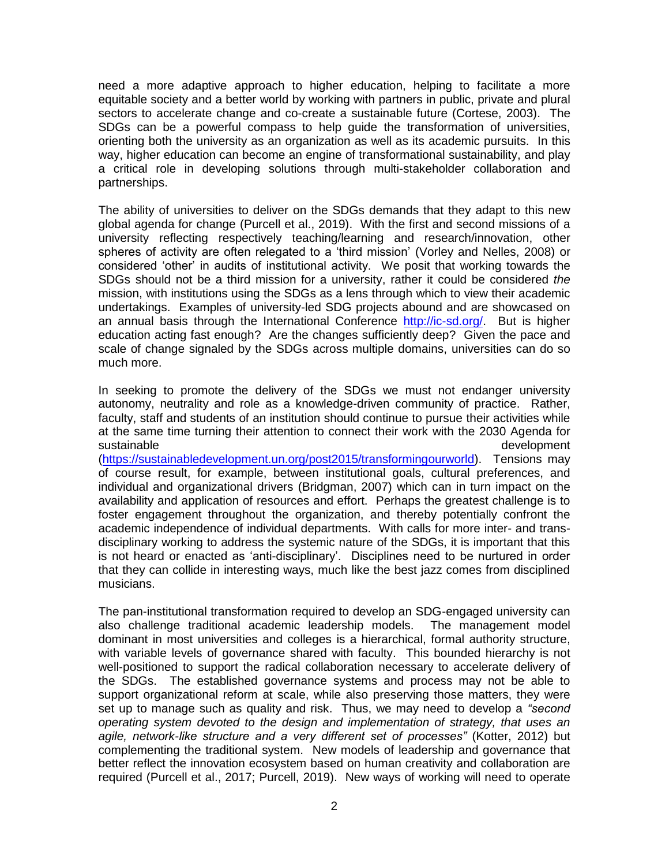need a more adaptive approach to higher education, helping to facilitate a more equitable society and a better world by working with partners in public, private and plural sectors to accelerate change and co-create a sustainable future (Cortese, 2003). The SDGs can be a powerful compass to help guide the transformation of universities, orienting both the university as an organization as well as its academic pursuits. In this way, higher education can become an engine of transformational sustainability, and play a critical role in developing solutions through multi-stakeholder collaboration and partnerships.

The ability of universities to deliver on the SDGs demands that they adapt to this new global agenda for change (Purcell et al., 2019). With the first and second missions of a university reflecting respectively teaching/learning and research/innovation, other spheres of activity are often relegated to a 'third mission' (Vorley and Nelles, 2008) or considered 'other' in audits of institutional activity. We posit that working towards the SDGs should not be a third mission for a university, rather it could be considered *the* mission, with institutions using the SDGs as a lens through which to view their academic undertakings. Examples of university-led SDG projects abound and are showcased on an annual basis through the International Conference [http://ic-sd.org/.](http://ic-sd.org/) But is higher education acting fast enough? Are the changes sufficiently deep? Given the pace and scale of change signaled by the SDGs across multiple domains, universities can do so much more.

In seeking to promote the delivery of the SDGs we must not endanger university autonomy, neutrality and role as a knowledge-driven community of practice. Rather, faculty, staff and students of an institution should continue to pursue their activities while at the same time turning their attention to connect their work with the 2030 Agenda for sustainable development

[\(https://sustainabledevelopment.un.org/post2015/transformingourworld\)](https://sustainabledevelopment.un.org/post2015/transformingourworld). Tensions may of course result, for example, between institutional goals, cultural preferences, and individual and organizational drivers (Bridgman, 2007) which can in turn impact on the availability and application of resources and effort. Perhaps the greatest challenge is to foster engagement throughout the organization, and thereby potentially confront the academic independence of individual departments. With calls for more inter- and transdisciplinary working to address the systemic nature of the SDGs, it is important that this is not heard or enacted as 'anti-disciplinary'. Disciplines need to be nurtured in order that they can collide in interesting ways, much like the best jazz comes from disciplined musicians.

The pan-institutional transformation required to develop an SDG-engaged university can also challenge traditional academic leadership models. The management model dominant in most universities and colleges is a hierarchical, formal authority structure, with variable levels of governance shared with faculty. This bounded hierarchy is not well-positioned to support the radical collaboration necessary to accelerate delivery of the SDGs. The established governance systems and process may not be able to support organizational reform at scale, while also preserving those matters, they were set up to manage such as quality and risk. Thus, we may need to develop a *"second operating system devoted to the design and implementation of strategy, that uses an agile, network-like structure and a very different set of processes"* [\(Kotter, 2012\)](https://hbr.org/2012/11/accelerate) but complementing the traditional system. New models of leadership and governance that better reflect the innovation ecosystem based on human creativity and collaboration are required (Purcell et al., 2017; Purcell, 2019). New ways of working will need to operate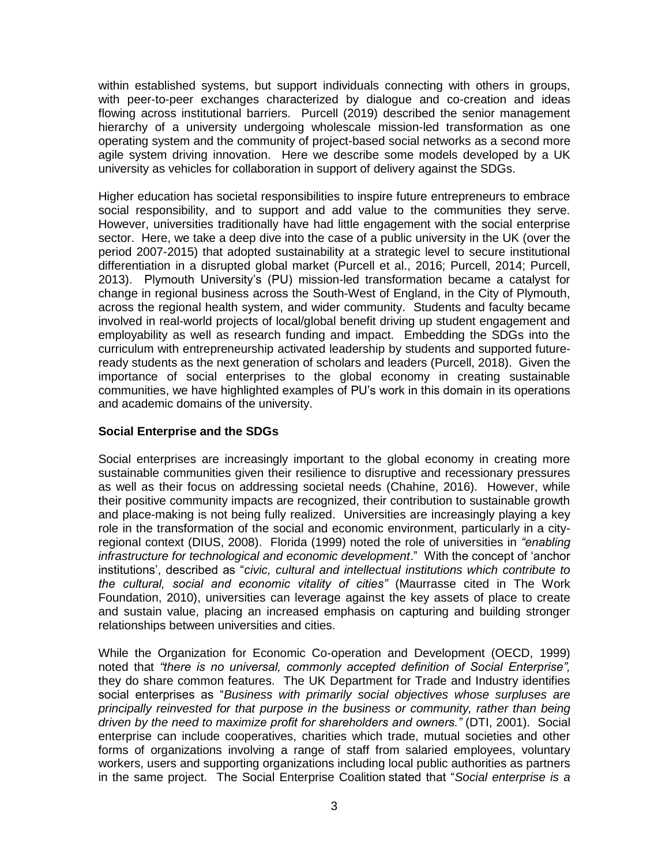within established systems, but support individuals connecting with others in groups, with peer-to-peer exchanges characterized by dialogue and co-creation and ideas flowing across institutional barriers. Purcell (2019) described the senior management hierarchy of a university undergoing wholescale mission-led transformation as one operating system and the community of project-based social networks as a second more agile system driving innovation. Here we describe some models developed by a UK university as vehicles for collaboration in support of delivery against the SDGs.

Higher education has societal responsibilities to inspire future entrepreneurs to embrace social responsibility, and to support and add value to the communities they serve. However, universities traditionally have had little engagement with the social enterprise sector. Here, we take a deep dive into the case of a public university in the UK (over the period 2007-2015) that adopted sustainability at a strategic level to secure institutional differentiation in a disrupted global market (Purcell et al., 2016; Purcell, 2014; Purcell, 2013). Plymouth University's (PU) mission-led transformation became a catalyst for change in regional business across the South-West of England, in the City of Plymouth, across the regional health system, and wider community. Students and faculty became involved in real-world projects of local/global benefit driving up student engagement and employability as well as research funding and impact. Embedding the SDGs into the curriculum with entrepreneurship activated leadership by students and supported futureready students as the next generation of scholars and leaders (Purcell, 2018). Given the importance of social enterprises to the global economy in creating sustainable communities, we have highlighted examples of PU's work in this domain in its operations and academic domains of the university.

### **Social Enterprise and the SDGs**

Social enterprises are increasingly important to the global economy in creating more sustainable communities given their resilience to disruptive and recessionary pressures as well as their focus on addressing societal needs (Chahine, 2016). However, while their positive community impacts are recognized, their contribution to sustainable growth and place-making is not being fully realized. Universities are increasingly playing a key role in the transformation of the social and economic environment, particularly in a cityregional context (DIUS, 2008). Florida (1999) noted the role of universities in *"enabling infrastructure for technological and economic development*." With the concept of 'anchor institutions', described as "*civic, cultural and intellectual institutions which contribute to the cultural, social and economic vitality of cities"* (Maurrasse cited in The Work Foundation, 2010), universities can leverage against the key assets of place to create and sustain value, placing an increased emphasis on capturing and building stronger relationships between universities and cities.

While the Organization for Economic Co-operation and Development (OECD, 1999) noted that *"there is no universal, commonly accepted definition of Social Enterprise",* they do share common features. The UK Department for Trade and Industry identifies social enterprises as "*Business with primarily social objectives whose surpluses are principally reinvested for that purpose in the business or community, rather than being driven by the need to maximize profit for shareholders and owners."* (DTI, 2001). Social enterprise can include cooperatives, charities which trade, mutual societies and other forms of organizations involving a range of staff from salaried employees, voluntary workers, users and supporting organizations including local public authorities as partners in the same project. The Social Enterprise Coalition stated that "*Social enterprise is a*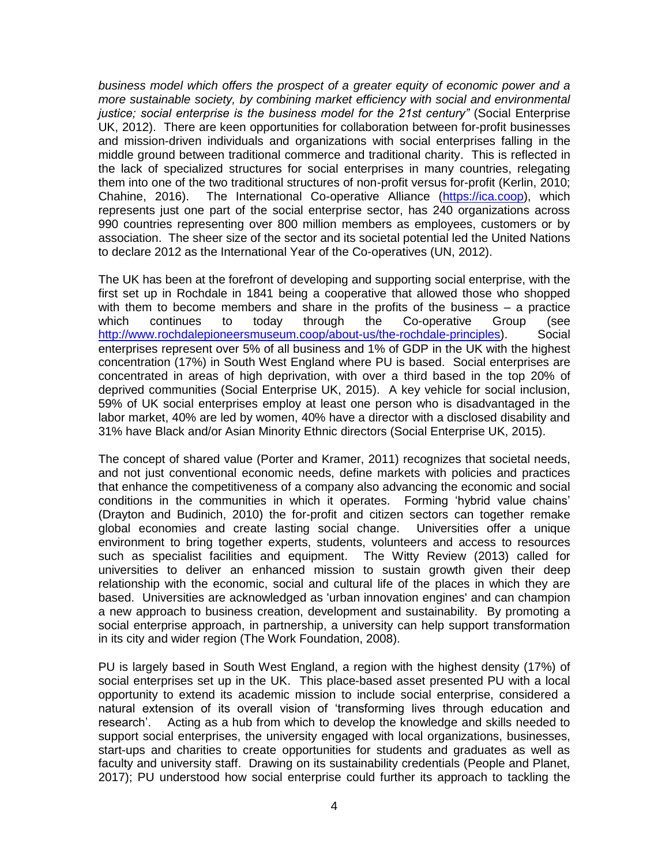*business model which offers the prospect of a greater equity of economic power and a more sustainable society, by combining market efficiency with social and environmental justice; social enterprise is the business model for the 21st century"* (Social Enterprise UK, 2012). There are keen opportunities for collaboration between for-profit businesses and mission-driven individuals and organizations with social enterprises falling in the middle ground between traditional commerce and traditional charity. This is reflected in the lack of specialized structures for social enterprises in many countries, relegating them into one of the two traditional structures of non-profit versus for-profit (Kerlin, 2010; Chahine, 2016). The International Co-operative Alliance [\(https://ica.coop\)](https://ica.coop/), which represents just one part of the social enterprise sector, has 240 organizations across 990 countries representing over 800 million members as employees, customers or by association. The sheer size of the sector and its societal potential led the United Nations to declare 2012 as the International Year of the Co-operatives (UN, 2012).

The UK has been at the forefront of developing and supporting social enterprise, with the first set up in Rochdale in 1841 being a cooperative that allowed those who shopped with them to become members and share in the profits of the business – a practice which continues to today through the Co-operative Group (see [http://www.rochdalepioneersmuseum.coop/about-us/the-rochdale-principles\)](http://www.rochdalepioneersmuseum.coop/about-us/the-rochdale-principles). Social enterprises represent over 5% of all business and 1% of GDP in the UK with the highest concentration (17%) in South West England where PU is based. Social enterprises are concentrated in areas of high deprivation, with over a third based in the top 20% of deprived communities (Social Enterprise UK, 2015). A key vehicle for social inclusion, 59% of UK social enterprises employ at least one person who is disadvantaged in the labor market, 40% are led by women, 40% have a director with a disclosed disability and 31% have Black and/or Asian Minority Ethnic directors (Social Enterprise UK, 2015).

The concept of shared value (Porter and Kramer, 2011) recognizes that societal needs, and not just conventional economic needs, define markets with policies and practices that enhance the competitiveness of a company also advancing the economic and social conditions in the communities in which it operates. Forming 'hybrid value chains' (Drayton and Budinich, 2010) the for-profit and citizen sectors can together remake global economies and create lasting social change. Universities offer a unique environment to bring together experts, students, volunteers and access to resources such as specialist facilities and equipment. The Witty Review (2013) called for universities to deliver an enhanced mission to sustain growth given their deep relationship with the economic, social and cultural life of the places in which they are based. Universities are acknowledged as 'urban innovation engines' and can champion a new approach to business creation, development and sustainability. By promoting a social enterprise approach, in partnership, a university can help support transformation in its city and wider region (The Work Foundation, 2008).

PU is largely based in South West England, a region with the highest density (17%) of social enterprises set up in the UK. This place-based asset presented PU with a local opportunity to extend its academic mission to include social enterprise, considered a natural extension of its overall vision of 'transforming lives through education and research'. Acting as a hub from which to develop the knowledge and skills needed to support social enterprises, the university engaged with local organizations, businesses, start-ups and charities to create opportunities for students and graduates as well as faculty and university staff. Drawing on its sustainability credentials (People and Planet, 2017); PU understood how social enterprise could further its approach to tackling the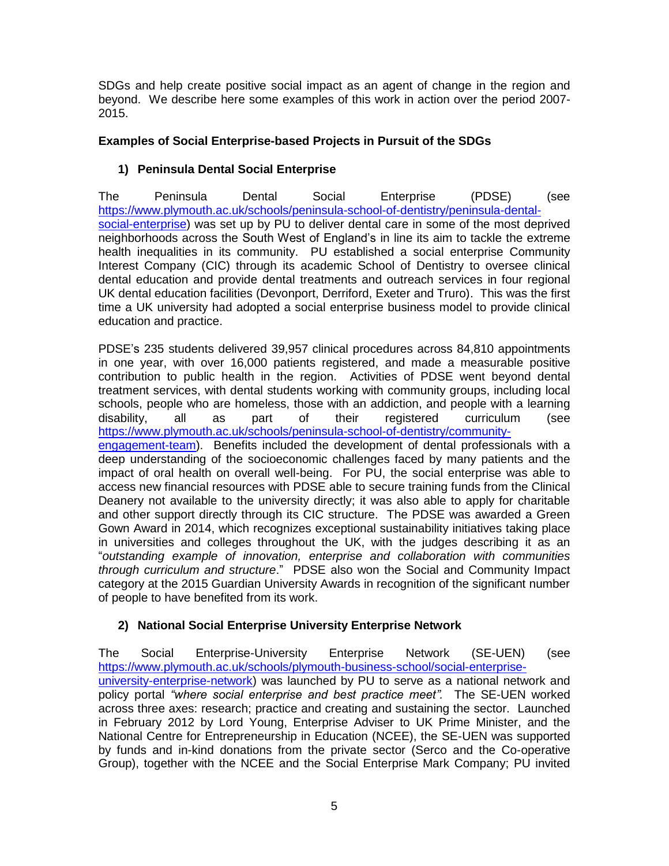SDGs and help create positive social impact as an agent of change in the region and beyond. We describe here some examples of this work in action over the period 2007- 2015.

### **Examples of Social Enterprise-based Projects in Pursuit of the SDGs**

# **1) Peninsula Dental Social Enterprise**

The Peninsula Dental Social Enterprise (PDSE) (see [https://www.plymouth.ac.uk/schools/peninsula-school-of-dentistry/peninsula-dental](https://www.plymouth.ac.uk/schools/peninsula-school-of-dentistry/peninsula-dental-social-enterprise)[social-enterprise\)](https://www.plymouth.ac.uk/schools/peninsula-school-of-dentistry/peninsula-dental-social-enterprise) was set up by PU to deliver dental care in some of the most deprived neighborhoods across the South West of England's in line its aim to tackle the extreme health inequalities in its community. PU established a social enterprise Community Interest Company (CIC) through its academic School of Dentistry to oversee clinical dental education and provide dental treatments and outreach services in four regional UK dental education facilities (Devonport, Derriford, Exeter and Truro). This was the first time a UK university had adopted a social enterprise business model to provide clinical education and practice.

PDSE's 235 students delivered 39,957 clinical procedures across 84,810 appointments in one year, with over 16,000 patients registered, and made a measurable positive contribution to public health in the region. Activities of PDSE went beyond dental treatment services, with dental students working with community groups, including local schools, people who are homeless, those with an addiction, and people with a learning disability, all as part of their registered curriculum (see [https://www.plymouth.ac.uk/schools/peninsula-school-of-dentistry/community-](https://www.plymouth.ac.uk/schools/peninsula-school-of-dentistry/community-engagement-team)

[engagement-team\)](https://www.plymouth.ac.uk/schools/peninsula-school-of-dentistry/community-engagement-team). Benefits included the development of dental professionals with a deep understanding of the socioeconomic challenges faced by many patients and the impact of oral health on overall well-being. For PU, the social enterprise was able to access new financial resources with PDSE able to secure training funds from the Clinical Deanery not available to the university directly; it was also able to apply for charitable and other support directly through its CIC structure. The PDSE was awarded a Green Gown Award in 2014, which recognizes exceptional sustainability initiatives taking place in universities and colleges throughout the UK, with the judges describing it as an "*outstanding example of innovation, enterprise and collaboration with communities through curriculum and structure*." PDSE also won the Social and Community Impact category at the 2015 Guardian University Awards in recognition of the significant number of people to have benefited from its work.

# **2) National Social Enterprise University Enterprise Network**

The Social Enterprise-University Enterprise Network (SE-UEN) (see [https://www.plymouth.ac.uk/schools/plymouth-business-school/social-enterprise](https://www.plymouth.ac.uk/schools/plymouth-business-school/social-enterprise-university-enterprise-network)[university-enterprise-network\)](https://www.plymouth.ac.uk/schools/plymouth-business-school/social-enterprise-university-enterprise-network) was launched by PU to serve as a national network and policy portal *"where social enterprise and best practice meet".* The SE-UEN worked across three axes: research; practice and creating and sustaining the sector. Launched in February 2012 by Lord Young, Enterprise Adviser to UK Prime Minister, and the National Centre for Entrepreneurship in Education (NCEE), the SE-UEN was supported by funds and in-kind donations from the private sector (Serco and the Co-operative Group), together with the NCEE and the Social Enterprise Mark Company; PU invited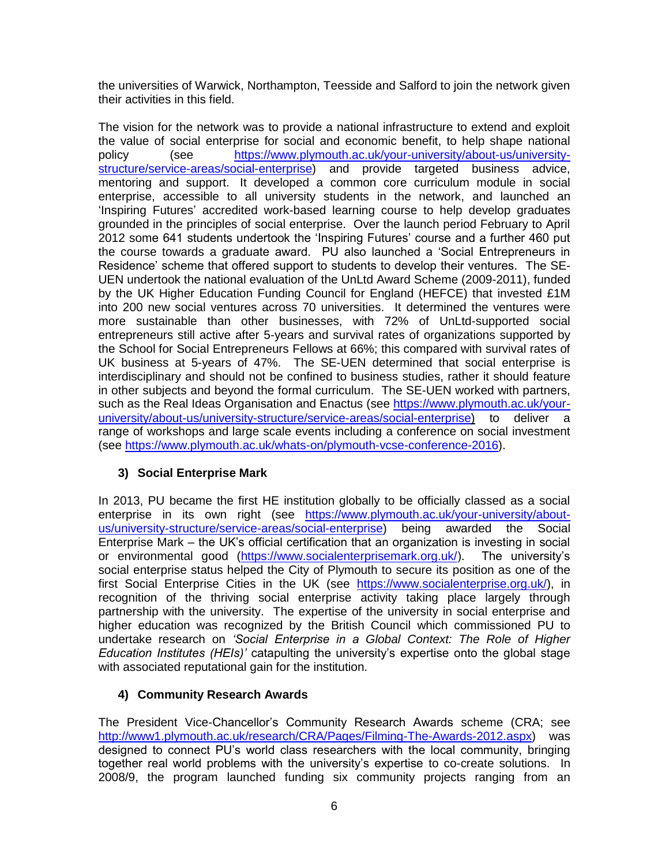the universities of Warwick, Northampton, Teesside and Salford to join the network given their activities in this field.

The vision for the network was to provide a national infrastructure to extend and exploit the value of social enterprise for social and economic benefit, to help shape national policy (see [https://www.plymouth.ac.uk/your-university/about-us/university](https://www.plymouth.ac.uk/your-university/about-us/university-structure/service-areas/social-enterprise)[structure/service-areas/social-enterprise\)](https://www.plymouth.ac.uk/your-university/about-us/university-structure/service-areas/social-enterprise) and provide targeted business advice, mentoring and support. It developed a common core curriculum module in social enterprise, accessible to all university students in the network, and launched an 'Inspiring Futures' accredited work-based learning course to help develop graduates grounded in the principles of social enterprise. Over the launch period February to April 2012 some 641 students undertook the 'Inspiring Futures' course and a further 460 put the course towards a graduate award. PU also launched a 'Social Entrepreneurs in Residence' scheme that offered support to students to develop their ventures. The SE-UEN undertook the national evaluation of the UnLtd Award Scheme (2009-2011), funded by the UK Higher Education Funding Council for England (HEFCE) that invested £1M into 200 new social ventures across 70 universities. It determined the ventures were more sustainable than other businesses, with 72% of UnLtd-supported social entrepreneurs still active after 5-years and survival rates of organizations supported by the School for Social Entrepreneurs Fellows at 66%; this compared with survival rates of UK business at 5-years of 47%. The SE-UEN determined that social enterprise is interdisciplinary and should not be confined to business studies, rather it should feature in other subjects and beyond the formal curriculum. The SE-UEN worked with partners, such as the Real Ideas Organisation and Enactus (see [https://www.plymouth.ac.uk/your](https://www.plymouth.ac.uk/your-university/about-us/university-structure/service-areas/social-enterprise)[university/about-us/university-structure/service-areas/social-enterprise\)](https://www.plymouth.ac.uk/your-university/about-us/university-structure/service-areas/social-enterprise) to deliver a range of workshops and large scale events including a conference on social investment (see [https://www.plymouth.ac.uk/whats-on/plymouth-vcse-conference-2016\)](https://www.plymouth.ac.uk/whats-on/plymouth-vcse-conference-2016).

# **3) Social Enterprise Mark**

In 2013, PU became the first HE institution globally to be officially classed as a social enterprise in its own right (see [https://www.plymouth.ac.uk/your-university/about](https://www.plymouth.ac.uk/your-university/about-us/university-structure/service-areas/social-enterprise)[us/university-structure/service-areas/social-enterprise\)](https://www.plymouth.ac.uk/your-university/about-us/university-structure/service-areas/social-enterprise) being awarded the Social Enterprise Mark – the UK's official certification that an organization is investing in social or environmental good [\(https://www.socialenterprisemark.org.uk/\)](https://www.socialenterprisemark.org.uk/). The university's social enterprise status helped the City of Plymouth to secure its position as one of the first Social Enterprise Cities in the UK (see [https://www.socialenterprise.org.uk/\)](https://www.socialenterprise.org.uk/), in recognition of the thriving social enterprise activity taking place largely through partnership with the university. The expertise of the university in social enterprise and higher education was recognized by the British Council which commissioned PU to undertake research on *'Social Enterprise in a Global Context: The Role of Higher Education Institutes (HEIs)'* catapulting the university's expertise onto the global stage with associated reputational gain for the institution.

# **4) Community Research Awards**

The President Vice-Chancellor's Community Research Awards scheme (CRA; see [http://www1.plymouth.ac.uk/research/CRA/Pages/Filming-The-Awards-2012.aspx\)](http://www1.plymouth.ac.uk/research/CRA/Pages/Filming-The-Awards-2012.aspx) was designed to connect PU's world class researchers with the local community, bringing together real world problems with the university's expertise to co-create solutions. In 2008/9, the program launched funding six community projects ranging from an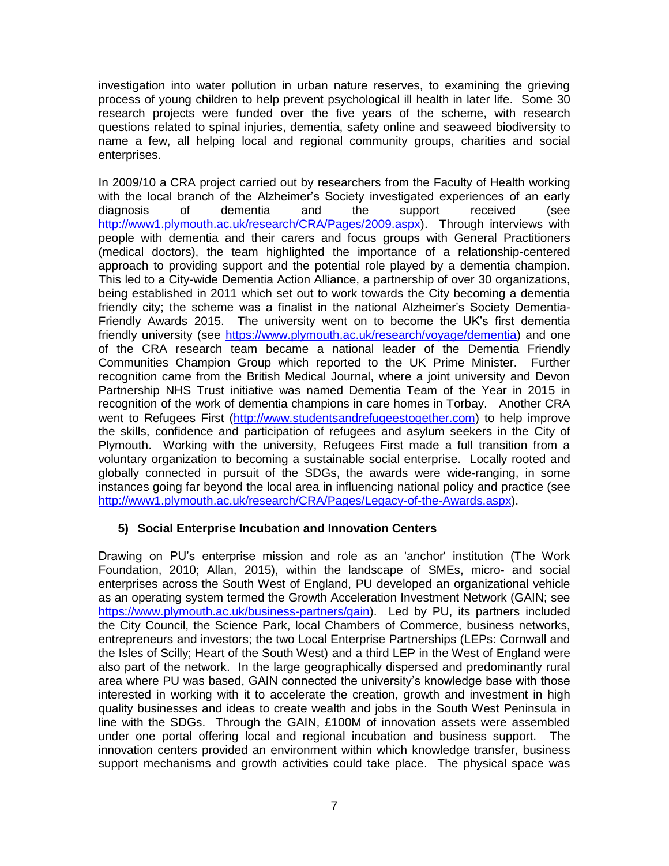investigation into water pollution in urban nature reserves, to examining the grieving process of young children to help prevent psychological ill health in later life. Some 30 research projects were funded over the five years of the scheme, with research questions related to spinal injuries, dementia, safety online and seaweed biodiversity to name a few, all helping local and regional community groups, charities and social enterprises.

In 2009/10 a CRA project carried out by researchers from the Faculty of Health working with the local branch of the Alzheimer's Society investigated experiences of an early diagnosis of dementia and the support received (see [http://www1.plymouth.ac.uk/research/CRA/Pages/2009.aspx\)](http://www1.plymouth.ac.uk/research/CRA/Pages/2009.aspx). Through interviews with people with dementia and their carers and focus groups with General Practitioners (medical doctors), the team highlighted the importance of a relationship-centered approach to providing support and the potential role played by a dementia champion. This led to a City-wide Dementia Action Alliance, a partnership of over 30 organizations, being established in 2011 which set out to work towards the City becoming a dementia friendly city; the scheme was a finalist in the national Alzheimer's Society Dementia-Friendly Awards 2015. The university went on to become the UK's first dementia friendly university (see [https://www.plymouth.ac.uk/research/voyage/dementia\)](https://www.plymouth.ac.uk/research/voyage/dementia) and one of the CRA research team became a national leader of the Dementia Friendly Communities Champion Group which reported to the UK Prime Minister. Further recognition came from the British Medical Journal, where a joint university and Devon Partnership NHS Trust initiative was named Dementia Team of the Year in 2015 in recognition of the work of dementia champions in care homes in Torbay. Another CRA went to Refugees First [\(http://www.studentsandrefugeestogether.com\)](http://www.studentsandrefugeestogether.com/) to help improve the skills, confidence and participation of refugees and asylum seekers in the City of Plymouth. Working with the university, Refugees First made a full transition from a voluntary organization to becoming a sustainable social enterprise. Locally rooted and globally connected in pursuit of the SDGs, the awards were wide-ranging, in some instances going far beyond the local area in influencing national policy and practice (see [http://www1.plymouth.ac.uk/research/CRA/Pages/Legacy-of-the-Awards.aspx\)](http://www1.plymouth.ac.uk/research/CRA/Pages/Legacy-of-the-Awards.aspx).

#### **5) Social Enterprise Incubation and Innovation Centers**

Drawing on PU's enterprise mission and role as an 'anchor' institution (The Work Foundation, 2010; Allan, 2015), within the landscape of SMEs, micro- and social enterprises across the South West of England, PU developed an organizational vehicle as an operating system termed the Growth Acceleration Investment Network (GAIN; see [https://www.plymouth.ac.uk/business-partners/gain\)](https://www.plymouth.ac.uk/business-partners/gain). Led by PU, its partners included the City Council, the Science Park, local Chambers of Commerce, business networks, entrepreneurs and investors; the two Local Enterprise Partnerships (LEPs: Cornwall and the Isles of Scilly; Heart of the South West) and a third LEP in the West of England were also part of the network. In the large geographically dispersed and predominantly rural area where PU was based, GAIN connected the university's knowledge base with those interested in working with it to accelerate the creation, growth and investment in high quality businesses and ideas to create wealth and jobs in the South West Peninsula in line with the SDGs. Through the GAIN, £100M of innovation assets were assembled under one portal offering local and regional incubation and business support. The innovation centers provided an environment within which knowledge transfer, business support mechanisms and growth activities could take place. The physical space was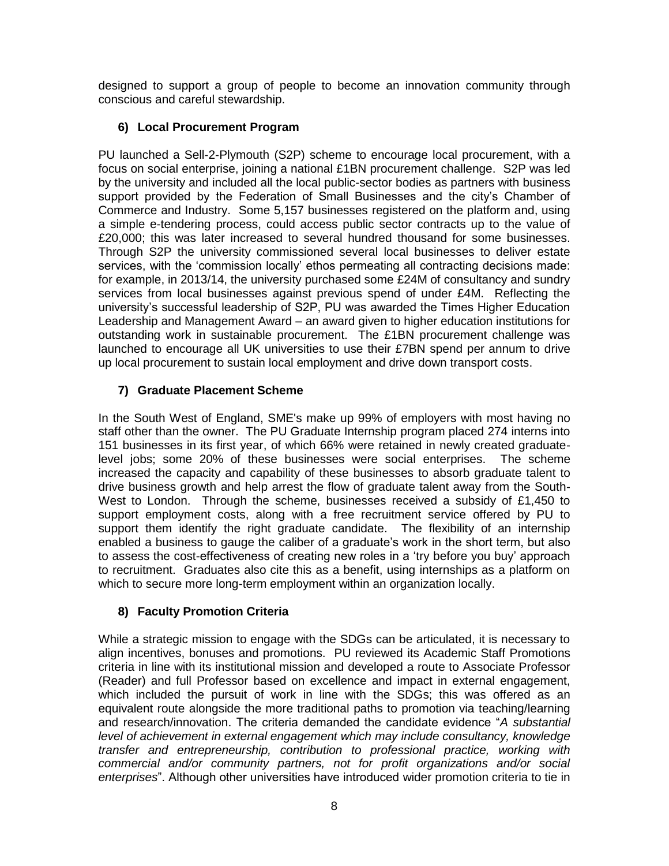designed to support a group of people to become an innovation community through conscious and careful stewardship.

# **6) Local Procurement Program**

PU launched a Sell-2-Plymouth (S2P) scheme to encourage local procurement, with a focus on social enterprise, joining a national £1BN procurement challenge. S2P was led by the university and included all the local public-sector bodies as partners with business support provided by the Federation of Small Businesses and the city's Chamber of Commerce and Industry. Some 5,157 businesses registered on the platform and, using a simple e-tendering process, could access public sector contracts up to the value of £20,000; this was later increased to several hundred thousand for some businesses. Through S2P the university commissioned several local businesses to deliver estate services, with the 'commission locally' ethos permeating all contracting decisions made: for example, in 2013/14, the university purchased some £24M of consultancy and sundry services from local businesses against previous spend of under £4M. Reflecting the university's successful leadership of S2P, PU was awarded the Times Higher Education Leadership and Management Award – an award given to higher education institutions for outstanding work in sustainable procurement. The £1BN procurement challenge was launched to encourage all UK universities to use their £7BN spend per annum to drive up local procurement to sustain local employment and drive down transport costs.

# **7) Graduate Placement Scheme**

In the South West of England, SME's make up 99% of employers with most having no staff other than the owner. The PU Graduate Internship program placed 274 interns into 151 businesses in its first year, of which 66% were retained in newly created graduatelevel jobs; some 20% of these businesses were social enterprises. The scheme increased the capacity and capability of these businesses to absorb graduate talent to drive business growth and help arrest the flow of graduate talent away from the South-West to London. Through the scheme, businesses received a subsidy of £1,450 to support employment costs, along with a free recruitment service offered by PU to support them identify the right graduate candidate. The flexibility of an internship enabled a business to gauge the caliber of a graduate's work in the short term, but also to assess the cost-effectiveness of creating new roles in a 'try before you buy' approach to recruitment. Graduates also cite this as a benefit, using internships as a platform on which to secure more long-term employment within an organization locally.

# **8) Faculty Promotion Criteria**

While a strategic mission to engage with the SDGs can be articulated, it is necessary to align incentives, bonuses and promotions. PU reviewed its Academic Staff Promotions criteria in line with its institutional mission and developed a route to Associate Professor (Reader) and full Professor based on excellence and impact in external engagement, which included the pursuit of work in line with the SDGs; this was offered as an equivalent route alongside the more traditional paths to promotion via teaching/learning and research/innovation. The criteria demanded the candidate evidence "*A substantial level of achievement in external engagement which may include consultancy, knowledge transfer and entrepreneurship, contribution to professional practice, working with commercial and/or community partners, not for profit organizations and/or social enterprises*". Although other universities have introduced wider promotion criteria to tie in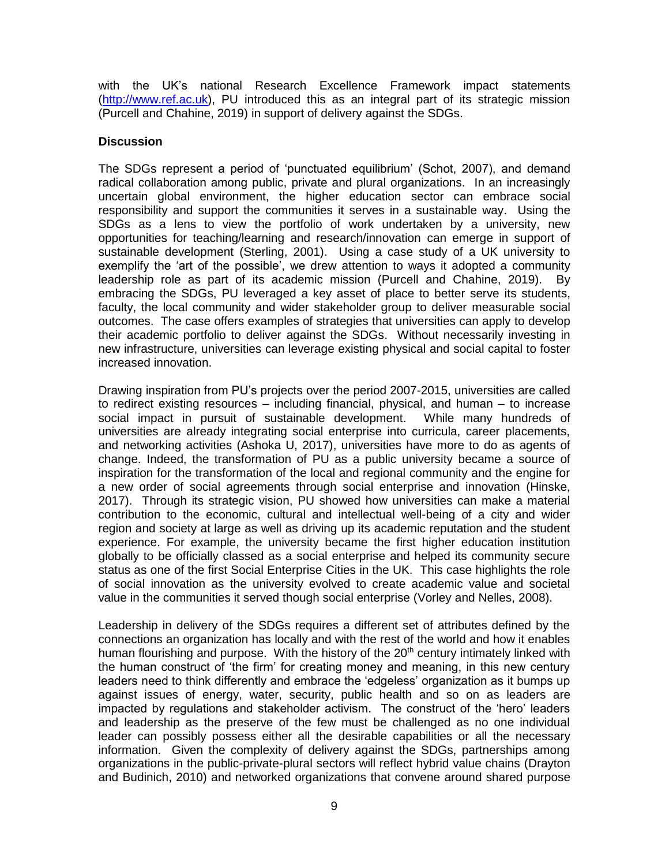with the UK's national Research Excellence Framework impact statements [\(http://www.ref.ac.uk\)](http://www.ref.ac.uk/), PU introduced this as an integral part of its strategic mission (Purcell and Chahine, 2019) in support of delivery against the SDGs.

#### **Discussion**

The SDGs represent a period of 'punctuated equilibrium' (Schot, 2007), and demand radical collaboration among public, private and plural organizations. In an increasingly uncertain global environment, the higher education sector can embrace social responsibility and support the communities it serves in a sustainable way. Using the SDGs as a lens to view the portfolio of work undertaken by a university, new opportunities for teaching/learning and research/innovation can emerge in support of sustainable development (Sterling, 2001). Using a case study of a UK university to exemplify the 'art of the possible', we drew attention to ways it adopted a community leadership role as part of its academic mission (Purcell and Chahine, 2019). By embracing the SDGs, PU leveraged a key asset of place to better serve its students, faculty, the local community and wider stakeholder group to deliver measurable social outcomes. The case offers examples of strategies that universities can apply to develop their academic portfolio to deliver against the SDGs. Without necessarily investing in new infrastructure, universities can leverage existing physical and social capital to foster increased innovation.

Drawing inspiration from PU's projects over the period 2007-2015, universities are called to redirect existing resources – including financial, physical, and human – to increase social impact in pursuit of sustainable development. While many hundreds of universities are already integrating social enterprise into curricula, career placements, and networking activities (Ashoka U, 2017), universities have more to do as agents of change. Indeed, the transformation of PU as a public university became a source of inspiration for the transformation of the local and regional community and the engine for a new order of social agreements through social enterprise and innovation (Hinske, 2017). Through its strategic vision, PU showed how universities can make a material contribution to the economic, cultural and intellectual well-being of a city and wider region and society at large as well as driving up its academic reputation and the student experience. For example, the university became the first higher education institution globally to be officially classed as a social enterprise and helped its community secure status as one of the first Social Enterprise Cities in the UK. This case highlights the role of social innovation as the university evolved to create academic value and societal value in the communities it served though social enterprise (Vorley and Nelles, 2008).

Leadership in delivery of the SDGs requires a different set of attributes defined by the connections an organization has locally and with the rest of the world and how it enables human flourishing and purpose. With the history of the 20<sup>th</sup> century intimately linked with the human construct of 'the firm' for creating money and meaning, in this new century leaders need to think differently and embrace the 'edgeless' organization as it bumps up against issues of energy, water, security, public health and so on as leaders are impacted by regulations and stakeholder activism. The construct of the 'hero' leaders and leadership as the preserve of the few must be challenged as no one individual leader can possibly possess either all the desirable capabilities or all the necessary information. Given the complexity of delivery against the SDGs, partnerships among organizations in the public-private-plural sectors will reflect hybrid value chains (Drayton and Budinich, 2010) and networked organizations that convene around shared purpose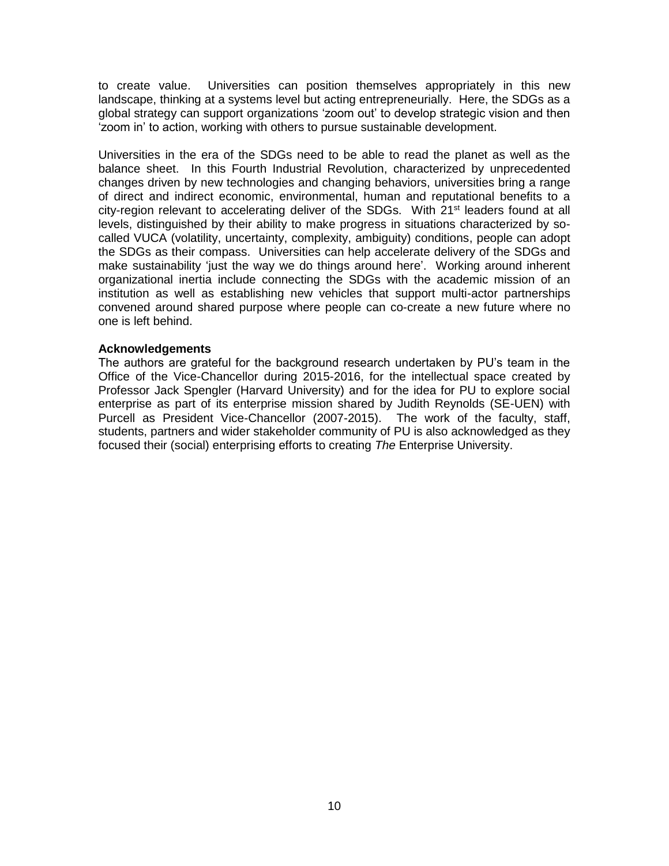to create value. Universities can position themselves appropriately in this new landscape, thinking at a systems level but acting entrepreneurially. Here, the SDGs as a global strategy can support organizations 'zoom out' to develop strategic vision and then 'zoom in' to action, working with others to pursue sustainable development.

Universities in the era of the SDGs need to be able to read the planet as well as the balance sheet. In this Fourth Industrial Revolution, characterized by unprecedented changes driven by new technologies and changing behaviors, universities bring a range of direct and indirect economic, environmental, human and reputational benefits to a city-region relevant to accelerating deliver of the SDGs. With 21<sup>st</sup> leaders found at all levels, distinguished by their ability to make progress in situations characterized by socalled VUCA (volatility, uncertainty, complexity, ambiguity) conditions, people can adopt the SDGs as their compass. Universities can help accelerate delivery of the SDGs and make sustainability 'just the way we do things around here'. Working around inherent organizational inertia include connecting the SDGs with the academic mission of an institution as well as establishing new vehicles that support multi-actor partnerships convened around shared purpose where people can co-create a new future where no one is left behind.

#### **Acknowledgements**

The authors are grateful for the background research undertaken by PU's team in the Office of the Vice-Chancellor during 2015-2016, for the intellectual space created by Professor Jack Spengler (Harvard University) and for the idea for PU to explore social enterprise as part of its enterprise mission shared by Judith Reynolds (SE-UEN) with Purcell as President Vice-Chancellor (2007-2015). The work of the faculty, staff, students, partners and wider stakeholder community of PU is also acknowledged as they focused their (social) enterprising efforts to creating *The* Enterprise University.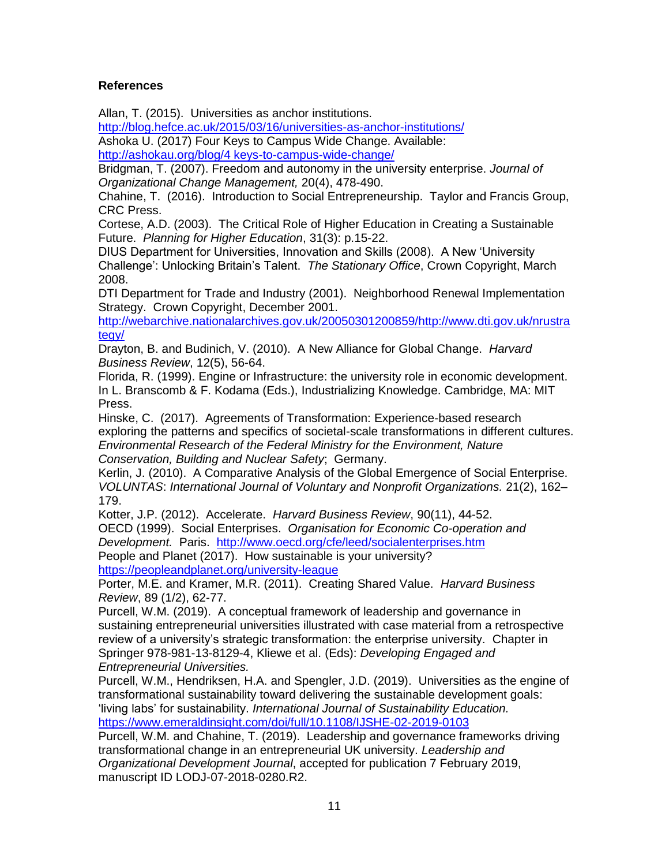### **References**

Allan, T. (2015). Universities as anchor institutions.

<http://blog.hefce.ac.uk/2015/03/16/universities-as-anchor-institutions/> Ashoka U. (2017) Four Keys to Campus Wide Change. Available:

[http://ashokau.org/blog/4 keys-to-campus-wide-change/](http://ashokau.org/blog/4%20keys-to-campus-wide-change/)

Bridgman, T. (2007). Freedom and autonomy in the university enterprise. *Journal of Organizational Change Management,* 20(4), 478-490.

Chahine, T. (2016). Introduction to Social Entrepreneurship. Taylor and Francis Group, CRC Press.

Cortese, A.D. (2003). The Critical Role of Higher Education in Creating a Sustainable Future. *Planning for Higher Education*, 31(3): p.15-22.

DIUS Department for Universities, Innovation and Skills (2008). A New 'University Challenge': Unlocking Britain's Talent. *The Stationary Office*, Crown Copyright, March 2008.

DTI Department for Trade and Industry (2001). Neighborhood Renewal Implementation Strategy. Crown Copyright, December 2001.

[http://webarchive.nationalarchives.gov.uk/20050301200859/http://www.dti.gov.uk/nrustra](http://webarchive.nationalarchives.gov.uk/20050301200859/http:/www.dti.gov.uk/nrustrategy/) [tegy/](http://webarchive.nationalarchives.gov.uk/20050301200859/http:/www.dti.gov.uk/nrustrategy/)

Drayton, B. and Budinich, V. (2010). A New Alliance for Global Change. *Harvard Business Review*, 12(5), 56-64.

Florida, R. (1999). Engine or Infrastructure: the university role in economic development. In L. Branscomb & F. Kodama (Eds.), Industrializing Knowledge. Cambridge, MA: MIT Press.

Hinske, C. (2017). Agreements of Transformation: Experience-based research exploring the patterns and specifics of societal-scale transformations in different cultures. *Environmental Research of the Federal Ministry for the Environment, Nature Conservation, Building and Nuclear Safety*; Germany.

Kerlin, J. (2010). A Comparative Analysis of the Global Emergence of Social Enterprise. *VOLUNTAS*: *International Journal of Voluntary and Nonprofit Organizations.* 21(2), 162– 179.

Kotter, J.P. (2012). Accelerate. *Harvard Business Review*, 90(11), 44-52.

OECD (1999). Social Enterprises. *Organisation for Economic Co-operation and Development.* Paris. <http://www.oecd.org/cfe/leed/socialenterprises.htm> People and Planet (2017). How sustainable is your university? <https://peopleandplanet.org/university-league>

Porter, M.E. and Kramer, M.R. (2011). Creating Shared Value. *Harvard Business Review*, 89 (1/2), 62-77.

Purcell, W.M. (2019). A conceptual framework of leadership and governance in sustaining entrepreneurial universities illustrated with case material from a retrospective review of a university's strategic transformation: the enterprise university. Chapter in Springer 978-981-13-8129-4, Kliewe et al. (Eds): *Developing Engaged and Entrepreneurial Universities.*

Purcell, W.M., Hendriksen, H.A. and Spengler, J.D. (2019). Universities as the engine of transformational sustainability toward delivering the sustainable development goals: 'living labs' for sustainability. *International Journal of Sustainability Education.* <https://www.emeraldinsight.com/doi/full/10.1108/IJSHE-02-2019-0103>

Purcell, W.M. and Chahine, T. (2019). Leadership and governance frameworks driving transformational change in an entrepreneurial UK university. *Leadership and Organizational Development Journal*, accepted for publication 7 February 2019, manuscript ID LODJ-07-2018-0280.R2.